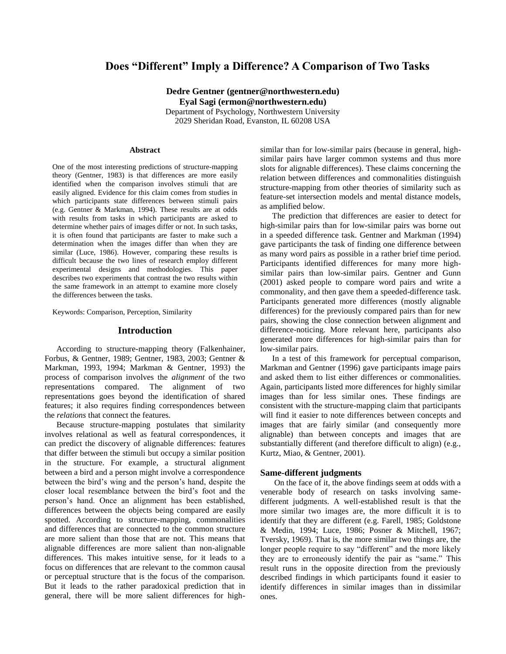# **Does "Different" Imply a Difference? A Comparison of Two Tasks**

**Dedre Gentner (gentner@northwestern.edu) Eyal Sagi (ermon@northwestern.edu)** Department of Psychology, Northwestern University 2029 Sheridan Road, Evanston, IL 60208 USA

#### **Abstract**

One of the most interesting predictions of structure-mapping theory (Gentner, 1983) is that differences are more easily identified when the comparison involves stimuli that are easily aligned. Evidence for this claim comes from studies in which participants state differences between stimuli pairs (e.g. Gentner & Markman, 1994). These results are at odds with results from tasks in which participants are asked to determine whether pairs of images differ or not. In such tasks, it is often found that participants are faster to make such a determination when the images differ than when they are similar (Luce, 1986). However, comparing these results is difficult because the two lines of research employ different experimental designs and methodologies. This paper describes two experiments that contrast the two results within the same framework in an attempt to examine more closely the differences between the tasks.

Keywords: Comparison, Perception, Similarity

### **Introduction**

According to structure-mapping theory (Falkenhainer, Forbus, & Gentner, 1989; Gentner, 1983, 2003; Gentner & Markman, 1993, 1994; Markman & Gentner, 1993) the process of comparison involves the *alignment* of the two representations compared. The alignment of two representations goes beyond the identification of shared features; it also requires finding correspondences between the *relations* that connect the features.

Because structure-mapping postulates that similarity involves relational as well as featural correspondences, it can predict the discovery of alignable differences: features that differ between the stimuli but occupy a similar position in the structure. For example, a structural alignment between a bird and a person might involve a correspondence between the bird's wing and the person's hand, despite the closer local resemblance between the bird's foot and the person's hand. Once an alignment has been established, differences between the objects being compared are easily spotted. According to structure-mapping, commonalities and differences that are connected to the common structure are more salient than those that are not. This means that alignable differences are more salient than non-alignable differences. This makes intuitive sense, for it leads to a focus on differences that are relevant to the common causal or perceptual structure that is the focus of the comparison. But it leads to the rather paradoxical prediction that in general, there will be more salient differences for highsimilar than for low-similar pairs (because in general, highsimilar pairs have larger common systems and thus more slots for alignable differences). These claims concerning the relation between differences and commonalities distinguish structure-mapping from other theories of similarity such as feature-set intersection models and mental distance models, as amplified below.

The prediction that differences are easier to detect for high-similar pairs than for low-similar pairs was borne out in a speeded difference task. Gentner and Markman (1994) gave participants the task of finding one difference between as many word pairs as possible in a rather brief time period. Participants identified differences for many more highsimilar pairs than low-similar pairs. Gentner and Gunn (2001) asked people to compare word pairs and write a commonality, and then gave them a speeded-difference task. Participants generated more differences (mostly alignable differences) for the previously compared pairs than for new pairs, showing the close connection between alignment and difference-noticing. More relevant here, participants also generated more differences for high-similar pairs than for low-similar pairs.

In a test of this framework for perceptual comparison, Markman and Gentner (1996) gave participants image pairs and asked them to list either differences or commonalities. Again, participants listed more differences for highly similar images than for less similar ones. These findings are consistent with the structure-mapping claim that participants will find it easier to note differences between concepts and images that are fairly similar (and consequently more alignable) than between concepts and images that are substantially different (and therefore difficult to align) (e.g., Kurtz, Miao, & Gentner, 2001).

#### **Same-different judgments**

On the face of it, the above findings seem at odds with a venerable body of research on tasks involving samedifferent judgments. A well-established result is that the more similar two images are, the more difficult it is to identify that they are different (e.g. Farell, 1985; Goldstone & Medin, 1994; Luce, 1986; Posner & Mitchell, 1967; Tversky, 1969). That is, the more similar two things are, the longer people require to say "different" and the more likely they are to erroneously identify the pair as "same." This result runs in the opposite direction from the previously described findings in which participants found it easier to identify differences in similar images than in dissimilar ones.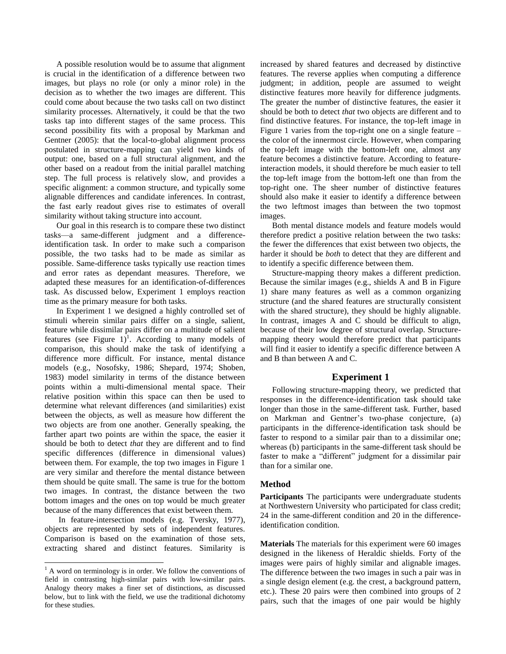A possible resolution would be to assume that alignment is crucial in the identification of a difference between two images, but plays no role (or only a minor role) in the decision as to whether the two images are different. This could come about because the two tasks call on two distinct similarity processes. Alternatively, it could be that the two tasks tap into different stages of the same process. This second possibility fits with a proposal by Markman and Gentner (2005): that the local-to-global alignment process postulated in structure-mapping can yield two kinds of output: one, based on a full structural alignment, and the other based on a readout from the initial parallel matching step. The full process is relatively slow, and provides a specific alignment: a common structure, and typically some alignable differences and candidate inferences. In contrast, the fast early readout gives rise to estimates of overall similarity without taking structure into account.

Our goal in this research is to compare these two distinct tasks—a same-different judgment and a differenceidentification task. In order to make such a comparison possible, the two tasks had to be made as similar as possible. Same-difference tasks typically use reaction times and error rates as dependant measures. Therefore, we adapted these measures for an identification-of-differences task. As discussed below, Experiment 1 employs reaction time as the primary measure for both tasks.

In Experiment 1 we designed a highly controlled set of stimuli wherein similar pairs differ on a single, salient, feature while dissimilar pairs differ on a multitude of salient features (see Figure 1)<sup>1</sup>. According to many models of comparison, this should make the task of identifying a difference more difficult. For instance, mental distance models (e.g., Nosofsky, 1986; Shepard, 1974; Shoben, 1983) model similarity in terms of the distance between points within a multi-dimensional mental space. Their relative position within this space can then be used to determine what relevant differences (and similarities) exist between the objects, as well as measure how different the two objects are from one another. Generally speaking, the farther apart two points are within the space, the easier it should be both to detect *that* they are different and to find specific differences (difference in dimensional values) between them. For example, the top two images in Figure 1 are very similar and therefore the mental distance between them should be quite small. The same is true for the bottom two images. In contrast, the distance between the two bottom images and the ones on top would be much greater because of the many differences that exist between them.

In feature-intersection models (e.g. Tversky, 1977), objects are represented by sets of independent features. Comparison is based on the examination of those sets, extracting shared and distinct features. Similarity is

l

increased by shared features and decreased by distinctive features. The reverse applies when computing a difference judgment; in addition, people are assumed to weight distinctive features more heavily for difference judgments. The greater the number of distinctive features, the easier it should be both to detect *that* two objects are different and to find distinctive features. For instance, the top-left image in Figure 1 varies from the top-right one on a single feature – the color of the innermost circle. However, when comparing the top-left image with the bottom-left one, almost any feature becomes a distinctive feature. According to featureinteraction models, it should therefore be much easier to tell the top-left image from the bottom-left one than from the top-right one. The sheer number of distinctive features should also make it easier to identify a difference between the two leftmost images than between the two topmost images.

Both mental distance models and feature models would therefore predict a positive relation between the two tasks: the fewer the differences that exist between two objects, the harder it should be *both* to detect that they are different and to identify a specific difference between them.

Structure-mapping theory makes a different prediction. Because the similar images (e.g., shields A and B in Figure 1) share many features as well as a common organizing structure (and the shared features are structurally consistent with the shared structure), they should be highly alignable. In contrast, images A and C should be difficult to align, because of their low degree of structural overlap. Structuremapping theory would therefore predict that participants will find it easier to identify a specific difference between A and B than between A and C.

# **Experiment 1**

Following structure-mapping theory, we predicted that responses in the difference-identification task should take longer than those in the same-different task. Further, based on Markman and Gentner's two-phase conjecture, (a) participants in the difference-identification task should be faster to respond to a similar pair than to a dissimilar one; whereas (b) participants in the same-different task should be faster to make a "different" judgment for a dissimilar pair than for a similar one.

# **Method**

**Participants** The participants were undergraduate students at Northwestern University who participated for class credit; 24 in the same-different condition and 20 in the differenceidentification condition.

**Materials** The materials for this experiment were 60 images designed in the likeness of Heraldic shields. Forty of the images were pairs of highly similar and alignable images. The difference between the two images in such a pair was in a single design element (e.g. the crest, a background pattern, etc.). These 20 pairs were then combined into groups of 2 pairs, such that the images of one pair would be highly

 $<sup>1</sup>$  A word on terminology is in order. We follow the conventions of</sup> field in contrasting high-similar pairs with low-similar pairs. Analogy theory makes a finer set of distinctions, as discussed below, but to link with the field, we use the traditional dichotomy for these studies.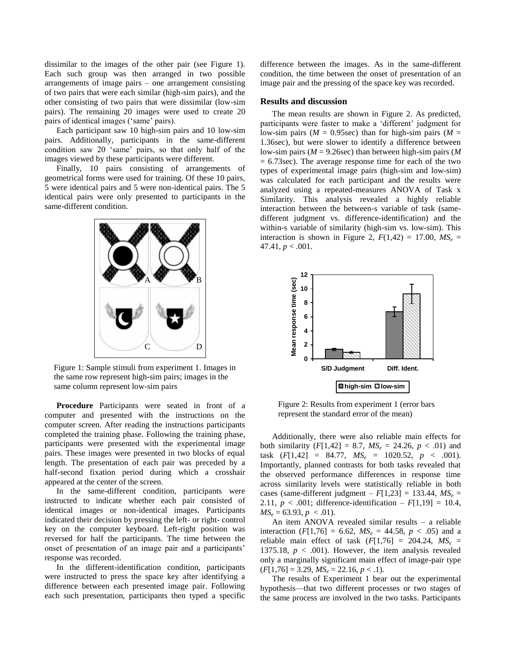dissimilar to the images of the other pair (see Figure 1). Each such group was then arranged in two possible arrangements of image pairs – one arrangement consisting of two pairs that were each similar (high-sim pairs), and the other consisting of two pairs that were dissimilar (low-sim pairs). The remaining 20 images were used to create 20 pairs of identical images (‗same' pairs).

Each participant saw 10 high-sim pairs and 10 low-sim pairs. Additionally, participants in the same-different condition saw 20 'same' pairs, so that only half of the images viewed by these participants were different.

Finally, 10 pairs consisting of arrangements of geometrical forms were used for training. Of these 10 pairs, 5 were identical pairs and 5 were non-identical pairs. The 5 identical pairs were only presented to participants in the same-different condition.



Figure 1: Sample stimuli from experiment 1. Images in the same row represent high-sim pairs; images in the same column represent low-sim pairs

**Procedure** Participants were seated in front of a computer and presented with the instructions on the computer screen. After reading the instructions participants completed the training phase. Following the training phase, participants were presented with the experimental image pairs. These images were presented in two blocks of equal length. The presentation of each pair was preceded by a half-second fixation period during which a crosshair appeared at the center of the screen.

In the same-different condition, participants were instructed to indicate whether each pair consisted of identical images or non-identical images. Participants indicated their decision by pressing the left- or right- control key on the computer keyboard. Left-right position was reversed for half the participants. The time between the onset of presentation of an image pair and a participants' response was recorded.

In the different-identification condition, participants were instructed to press the space key after identifying a difference between each presented image pair. Following each such presentation, participants then typed a specific difference between the images. As in the same-different condition, the time between the onset of presentation of an image pair and the pressing of the space key was recorded.

#### **Results and discussion**

The mean results are shown in Figure 2. As predicted, participants were faster to make a 'different' judgment for low-sim pairs ( $M = 0.95$ sec) than for high-sim pairs ( $M =$ 1.36sec), but were slower to identify a difference between low-sim pairs (*M* = 9.26sec) than between high-sim pairs (*M*  $= 6.73$  sec). The average response time for each of the two types of experimental image pairs (high-sim and low-sim) was calculated for each participant and the results were analyzed using a repeated-measures ANOVA of Task x Similarity. This analysis revealed a highly reliable interaction between the between-s variable of task (samedifferent judgment vs. difference-identification) and the within-s variable of similarity (high-sim vs. low-sim). This interaction is shown in Figure 2,  $F(1,42) = 17.00$ ,  $MS_e =$ 47.41,  $p < .001$ .



Figure 2: Results from experiment 1 (error bars represent the standard error of the mean)

Additionally, there were also reliable main effects for both similarity  $(F[1,42] = 8.7, MS_e = 24.26, p < .01)$  and task  $(F[1,42] = 84.77, MS_e = 1020.52, p < .001$ . Importantly, planned contrasts for both tasks revealed that the observed performance differences in response time across similarity levels were statistically reliable in both cases (same-different judgment –  $F[1,23] = 133.44$ ,  $MS_e =$ 2.11,  $p < .001$ ; difference-identification –  $F[1,19] = 10.4$ ,  $MS_e = 63.93, p < .01$ .

An item ANOVA revealed similar results – a reliable interaction  $(F[1,76] = 6.62, MS_e = 44.58, p < .05)$  and a reliable main effect of task  $(F[1,76] = 204.24, MS_e =$ 1375.18,  $p < .001$ ). However, the item analysis revealed only a marginally significant main effect of image-pair type  $(F[1,76] = 3.29, MS_e = 22.16, p < .1).$ 

The results of Experiment 1 bear out the experimental hypothesis—that two different processes or two stages of the same process are involved in the two tasks. Participants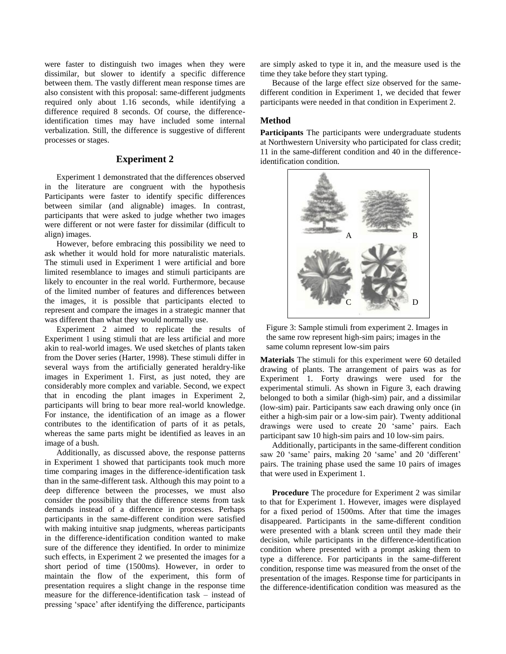were faster to distinguish two images when they were dissimilar, but slower to identify a specific difference between them. The vastly different mean response times are also consistent with this proposal: same-different judgments required only about 1.16 seconds, while identifying a difference required 8 seconds. Of course, the differenceidentification times may have included some internal verbalization. Still, the difference is suggestive of different processes or stages.

## **Experiment 2**

Experiment 1 demonstrated that the differences observed in the literature are congruent with the hypothesis Participants were faster to identify specific differences between similar (and alignable) images. In contrast, participants that were asked to judge whether two images were different or not were faster for dissimilar (difficult to align) images.

However, before embracing this possibility we need to ask whether it would hold for more naturalistic materials. The stimuli used in Experiment 1 were artificial and bore limited resemblance to images and stimuli participants are likely to encounter in the real world. Furthermore, because of the limited number of features and differences between the images, it is possible that participants elected to represent and compare the images in a strategic manner that was different than what they would normally use.

Experiment 2 aimed to replicate the results of Experiment 1 using stimuli that are less artificial and more akin to real-world images. We used sketches of plants taken from the Dover series (Harter, 1998). These stimuli differ in several ways from the artificially generated heraldry-like images in Experiment 1. First, as just noted, they are considerably more complex and variable. Second, we expect that in encoding the plant images in Experiment 2, participants will bring to bear more real-world knowledge. For instance, the identification of an image as a flower contributes to the identification of parts of it as petals, whereas the same parts might be identified as leaves in an image of a bush.

Additionally, as discussed above, the response patterns in Experiment 1 showed that participants took much more time comparing images in the difference-identification task than in the same-different task. Although this may point to a deep difference between the processes, we must also consider the possibility that the difference stems from task demands instead of a difference in processes. Perhaps participants in the same-different condition were satisfied with making intuitive snap judgments, whereas participants in the difference-identification condition wanted to make sure of the difference they identified. In order to minimize such effects, in Experiment 2 we presented the images for a short period of time (1500ms). However, in order to maintain the flow of the experiment, this form of presentation requires a slight change in the response time measure for the difference-identification task – instead of pressing ‗space' after identifying the difference, participants

are simply asked to type it in, and the measure used is the time they take before they start typing.

Because of the large effect size observed for the samedifferent condition in Experiment 1, we decided that fewer participants were needed in that condition in Experiment 2.

# **Method**

**Participants** The participants were undergraduate students at Northwestern University who participated for class credit; 11 in the same-different condition and 40 in the differenceidentification condition.



Figure 3: Sample stimuli from experiment 2. Images in the same row represent high-sim pairs; images in the same column represent low-sim pairs

**Materials** The stimuli for this experiment were 60 detailed drawing of plants. The arrangement of pairs was as for Experiment 1. Forty drawings were used for the experimental stimuli. As shown in Figure 3, each drawing belonged to both a similar (high-sim) pair, and a dissimilar (low-sim) pair. Participants saw each drawing only once (in either a high-sim pair or a low-sim pair). Twenty additional drawings were used to create 20 'same' pairs. Each participant saw 10 high-sim pairs and 10 low-sim pairs.

Additionally, participants in the same-different condition saw 20 'same' pairs, making 20 'same' and 20 'different' pairs. The training phase used the same 10 pairs of images that were used in Experiment 1.

**Procedure** The procedure for Experiment 2 was similar to that for Experiment 1. However, images were displayed for a fixed period of 1500ms. After that time the images disappeared. Participants in the same-different condition were presented with a blank screen until they made their decision, while participants in the difference-identification condition where presented with a prompt asking them to type a difference. For participants in the same-different condition, response time was measured from the onset of the presentation of the images. Response time for participants in the difference-identification condition was measured as the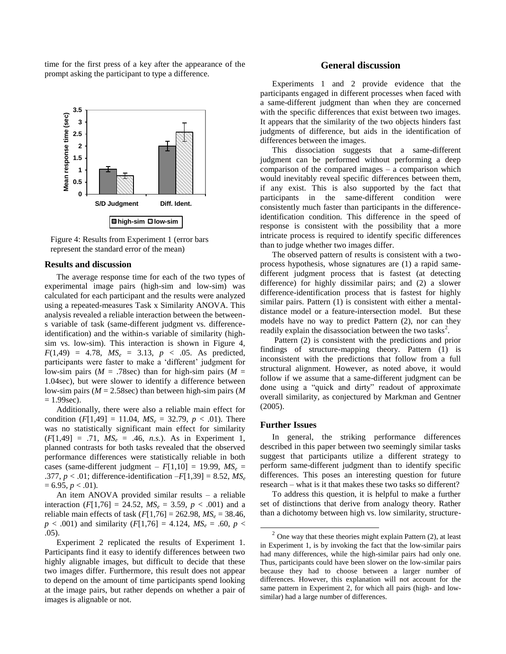time for the first press of a key after the appearance of the prompt asking the participant to type a difference.



Figure 4: Results from Experiment 1 (error bars represent the standard error of the mean)

#### **Results and discussion**

The average response time for each of the two types of experimental image pairs (high-sim and low-sim) was calculated for each participant and the results were analyzed using a repeated-measures Task x Similarity ANOVA. This analysis revealed a reliable interaction between the betweens variable of task (same-different judgment vs. differenceidentification) and the within-s variable of similarity (highsim vs. low-sim). This interaction is shown in Figure 4,  $F(1,49) = 4.78$ ,  $MS_e = 3.13$ ,  $p < .05$ . As predicted, participants were faster to make a 'different' judgment for low-sim pairs ( $M = .78$ sec) than for high-sim pairs ( $M =$ 1.04sec), but were slower to identify a difference between low-sim pairs (*M* = 2.58sec) than between high-sim pairs (*M*   $= 1.99$ sec).

Additionally, there were also a reliable main effect for condition  $(F[1,49] = 11.04, MS_e = 32.79, p < .01)$ . There was no statistically significant main effect for similarity (*F*[1,49] = .71, *MS<sup>e</sup>* = .46, *n.s.*). As in Experiment 1, planned contrasts for both tasks revealed that the observed performance differences were statistically reliable in both cases (same-different judgment –  $F[1,10] = 19.99$ ,  $MS_e$  = .377,  $p < .01$ ; difference-identification  $-F[1,39] = 8.52$ ,  $MS_e$  $= 6.95, p < .01$ ).

An item ANOVA provided similar results – a reliable interaction  $(F[1,76] = 24.52, MS_e = 3.59, p < .001)$  and a reliable main effects of task  $(F[1,76] = 262.98, MS_e = 38.46,$  $p < .001$ ) and similarity ( $F[1,76] = 4.124$ ,  $MS_e = .60$ ,  $p <$ .05).

Experiment 2 replicated the results of Experiment 1. Participants find it easy to identify differences between two highly alignable images, but difficult to decide that these two images differ. Furthermore, this result does not appear to depend on the amount of time participants spend looking at the image pairs, but rather depends on whether a pair of images is alignable or not.

### **General discussion**

Experiments 1 and 2 provide evidence that the participants engaged in different processes when faced with a same-different judgment than when they are concerned with the specific differences that exist between two images. It appears that the similarity of the two objects hinders fast judgments of difference, but aids in the identification of differences between the images.

This dissociation suggests that a same-different judgment can be performed without performing a deep comparison of the compared images – a comparison which would inevitably reveal specific differences between them, if any exist. This is also supported by the fact that participants in the same-different condition were consistently much faster than participants in the differenceidentification condition. This difference in the speed of response is consistent with the possibility that a more intricate process is required to identify specific differences than to judge whether two images differ.

The observed pattern of results is consistent with a twoprocess hypothesis, whose signatures are (1) a rapid samedifferent judgment process that is fastest (at detecting difference) for highly dissimilar pairs; and (2) a slower difference-identification process that is fastest for highly similar pairs. Pattern (1) is consistent with either a mentaldistance model or a feature-intersection model. But these models have no way to predict Pattern (2), nor can they readily explain the disassociation between the two tasks<sup>2</sup>.

Pattern (2) is consistent with the predictions and prior findings of structure-mapping theory. Pattern (1) is inconsistent with the predictions that follow from a full structural alignment. However, as noted above, it would follow if we assume that a same-different judgment can be done using a "quick and dirty" readout of approximate overall similarity, as conjectured by Markman and Gentner (2005).

#### **Further Issues**

 $\overline{a}$ 

In general, the striking performance differences described in this paper between two seemingly similar tasks suggest that participants utilize a different strategy to perform same-different judgment than to identify specific differences. This poses an interesting question for future research – what is it that makes these two tasks so different?

To address this question, it is helpful to make a further set of distinctions that derive from analogy theory. Rather than a dichotomy between high vs. low similarity, structure-

 $2$  One way that these theories might explain Pattern (2), at least in Experiment 1, is by invoking the fact that the low-similar pairs had many differences, while the high-similar pairs had only one. Thus, participants could have been slower on the low-similar pairs because they had to choose between a larger number of differences. However, this explanation will not account for the same pattern in Experiment 2, for which all pairs (high- and lowsimilar) had a large number of differences.